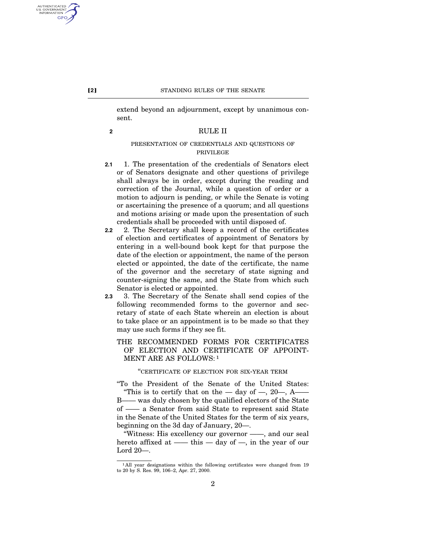extend beyond an adjournment, except by unanimous consent.

## **2** RULE II

# PRESENTATION OF CREDENTIALS AND QUESTIONS OF PRIVILEGE

- **2.1** 1. The presentation of the credentials of Senators elect or of Senators designate and other questions of privilege shall always be in order, except during the reading and correction of the Journal, while a question of order or a motion to adjourn is pending, or while the Senate is voting or ascertaining the presence of a quorum; and all questions and motions arising or made upon the presentation of such credentials shall be proceeded with until disposed of.
- **2.2** 2. The Secretary shall keep a record of the certificates of election and certificates of appointment of Senators by entering in a well-bound book kept for that purpose the date of the election or appointment, the name of the person elected or appointed, the date of the certificate, the name of the governor and the secretary of state signing and counter-signing the same, and the State from which such Senator is elected or appointed.
- **2.3** 3. The Secretary of the Senate shall send copies of the following recommended forms to the governor and secretary of state of each State wherein an election is about to take place or an appointment is to be made so that they may use such forms if they see fit.

# THE RECOMMENDED FORMS FOR CERTIFICATES OF ELECTION AND CERTIFICATE OF APPOINT-MENT ARE AS FOLLOWS: 1

# ''CERTIFICATE OF ELECTION FOR SIX-YEAR TERM

''To the President of the Senate of the United States: "This is to certify that on the — day of —, 20—, A— B—— was duly chosen by the qualified electors of the State of —— a Senator from said State to represent said State in the Senate of the United States for the term of six years, beginning on the 3d day of January, 20—.

''Witness: His excellency our governor ——, and our seal hereto affixed at —— this — day of —, in the year of our Lord 20—.

AUTHENTICATED<br>U.S. GOVERNMENT<br>INFORMATION GPO

2

<sup>&</sup>lt;sup>1</sup>All year designations within the following certificates were changed from 19 to 20 by S. Res. 99, 106–2, Apr. 27, 2000.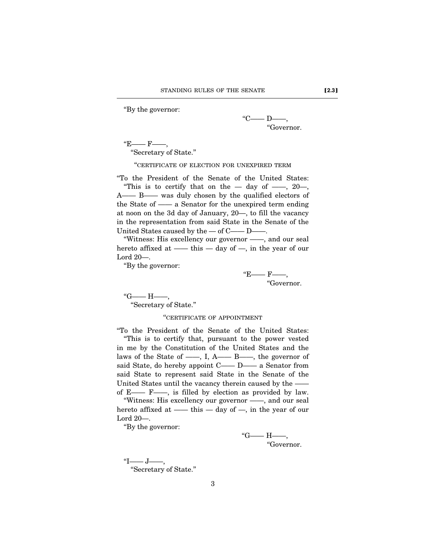''By the governor:

 $"C$ —— D——, ''Governor.

 $E$ ——  $F$ ——,

''Secretary of State.''

''CERTIFICATE OF ELECTION FOR UNEXPIRED TERM

''To the President of the Senate of the United States: "This is to certify that on the  $-$  day of  $-$ , 20 $-$ , A—— B—— was duly chosen by the qualified electors of the State of —— a Senator for the unexpired term ending at noon on the 3d day of January, 20—, to fill the vacancy in the representation from said State in the Senate of the United States caused by the — of C—— D——.

''Witness: His excellency our governor ——, and our seal hereto affixed at —— this — day of —, in the year of our Lord 20—.

''By the governor:

 $E$ ——  $F$ —— ''Governor.

 $"G$ ——  $H$ ——, ''Secretary of State.''

# ''CERTIFICATE OF APPOINTMENT

''To the President of the Senate of the United States: ''This is to certify that, pursuant to the power vested in me by the Constitution of the United States and the laws of the State of ——, I, A—— B——, the governor of said State, do hereby appoint C—— D—— a Senator from said State to represent said State in the Senate of the United States until the vacancy therein caused by the — of E—— F——, is filled by election as provided by law. ''Witness: His excellency our governor ——, and our seal

hereto affixed at —— this — day of —, in the year of our Lord 20—.

''By the governor:

 $"G$ ——  $H$ ——, ''Governor.

 $"I$ —— $J$ ——, ''Secretary of State.''